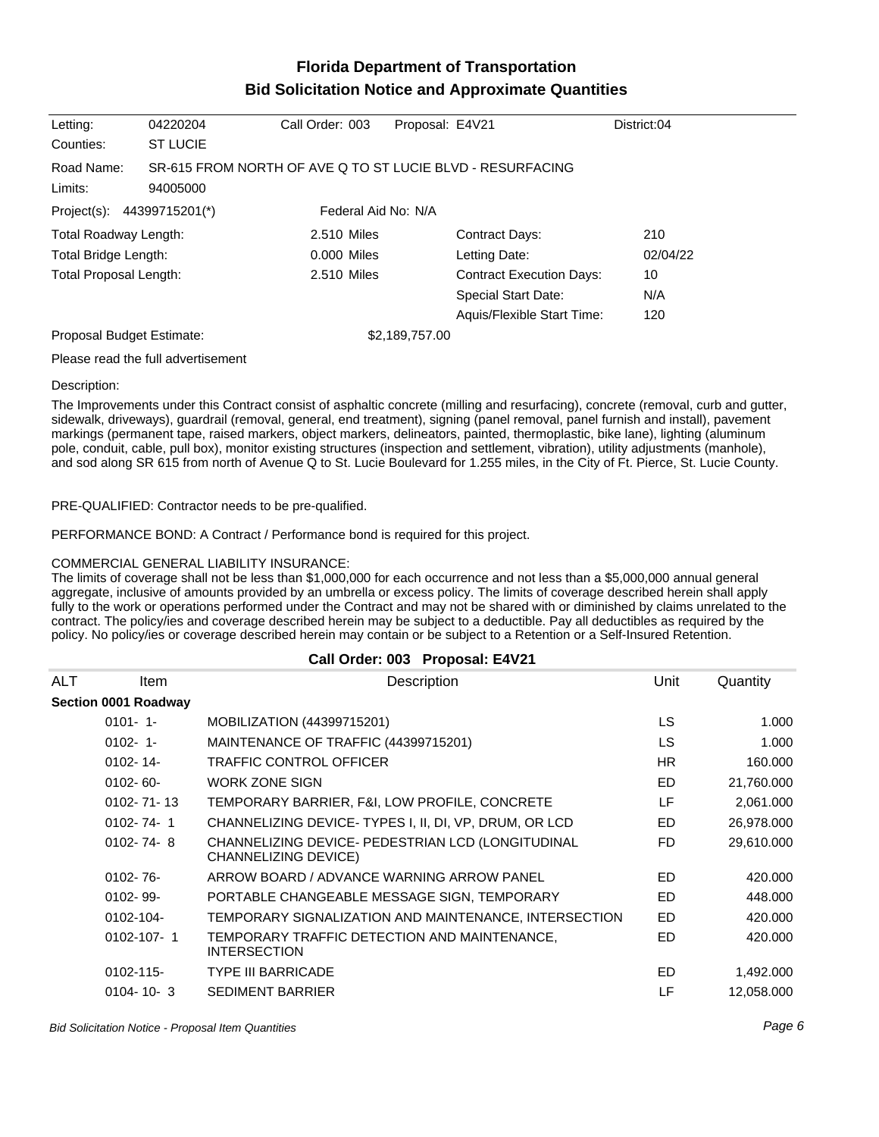# **Florida Department of Transportation Bid Solicitation Notice and Approximate Quantities**

| Letting:                      | 04220204                                                              | Call Order: 003     | Proposal: E4V21 |                                 | District:04 |
|-------------------------------|-----------------------------------------------------------------------|---------------------|-----------------|---------------------------------|-------------|
| Counties:                     | <b>ST LUCIE</b>                                                       |                     |                 |                                 |             |
| Road Name:<br>Limits:         | SR-615 FROM NORTH OF AVE Q TO ST LUCIE BLVD - RESURFACING<br>94005000 |                     |                 |                                 |             |
| Project(s): 44399715201(*)    |                                                                       | Federal Aid No: N/A |                 |                                 |             |
| <b>Total Roadway Length:</b>  |                                                                       | 2.510 Miles         |                 | <b>Contract Days:</b>           | 210         |
| Total Bridge Length:          |                                                                       | 0.000 Miles         |                 | Letting Date:                   | 02/04/22    |
| <b>Total Proposal Length:</b> |                                                                       | 2.510 Miles         |                 | <b>Contract Execution Days:</b> | 10          |
|                               |                                                                       |                     |                 | <b>Special Start Date:</b>      | N/A         |
|                               |                                                                       |                     |                 | Aquis/Flexible Start Time:      | 120         |
| Proposal Budget Estimate:     |                                                                       |                     | \$2,189,757.00  |                                 |             |
|                               | Please read the full advertisement                                    |                     |                 |                                 |             |

#### Description:

The Improvements under this Contract consist of asphaltic concrete (milling and resurfacing), concrete (removal, curb and gutter, sidewalk, driveways), guardrail (removal, general, end treatment), signing (panel removal, panel furnish and install), pavement markings (permanent tape, raised markers, object markers, delineators, painted, thermoplastic, bike lane), lighting (aluminum pole, conduit, cable, pull box), monitor existing structures (inspection and settlement, vibration), utility adjustments (manhole), and sod along SR 615 from north of Avenue Q to St. Lucie Boulevard for 1.255 miles, in the City of Ft. Pierce, St. Lucie County.

### PRE-QUALIFIED: Contractor needs to be pre-qualified.

PERFORMANCE BOND: A Contract / Performance bond is required for this project.

### COMMERCIAL GENERAL LIABILITY INSURANCE:

The limits of coverage shall not be less than \$1,000,000 for each occurrence and not less than a \$5,000,000 annual general aggregate, inclusive of amounts provided by an umbrella or excess policy. The limits of coverage described herein shall apply fully to the work or operations performed under the Contract and may not be shared with or diminished by claims unrelated to the contract. The policy/ies and coverage described herein may be subject to a deductible. Pay all deductibles as required by the policy. No policy/ies or coverage described herein may contain or be subject to a Retention or a Self-Insured Retention.

## **Call Order: 003 Proposal: E4V21**

| ALT | <b>Item</b>          | Description                                                               | Unit      | Quantity   |
|-----|----------------------|---------------------------------------------------------------------------|-----------|------------|
|     | Section 0001 Roadway |                                                                           |           |            |
|     | $0101 - 1$           | MOBILIZATION (44399715201)                                                | <b>LS</b> | 1.000      |
|     | $0102 - 1$           | MAINTENANCE OF TRAFFIC (44399715201)                                      | <b>LS</b> | 1.000      |
|     | $0102 - 14$          | <b>TRAFFIC CONTROL OFFICER</b>                                            | <b>HR</b> | 160,000    |
|     | $0102 - 60 -$        | <b>WORK ZONE SIGN</b>                                                     | <b>ED</b> | 21,760.000 |
|     | $0102 - 71 - 13$     | TEMPORARY BARRIER, F&I, LOW PROFILE, CONCRETE                             | LF        | 2,061.000  |
|     | $0102 - 74 - 1$      | CHANNELIZING DEVICE-TYPES I, II, DI, VP, DRUM, OR LCD                     | ED        | 26,978.000 |
|     | $0102 - 74 - 8$      | CHANNELIZING DEVICE- PEDESTRIAN LCD (LONGITUDINAL<br>CHANNELIZING DEVICE) | FD.       | 29,610.000 |
|     | $0102 - 76 -$        | ARROW BOARD / ADVANCE WARNING ARROW PANEL                                 | ED.       | 420,000    |
|     | $0102 - 99 -$        | PORTABLE CHANGEABLE MESSAGE SIGN, TEMPORARY                               | ED        | 448.000    |
|     | 0102-104-            | TEMPORARY SIGNALIZATION AND MAINTENANCE, INTERSECTION                     | ED        | 420,000    |
|     | $0102 - 107 - 1$     | TEMPORARY TRAFFIC DETECTION AND MAINTENANCE,<br><b>INTERSECTION</b>       | <b>ED</b> | 420,000    |
|     | $0102 - 115$         | <b>TYPE III BARRICADE</b>                                                 | ED.       | 1,492.000  |
|     | $0104 - 10 - 3$      | <b>SEDIMENT BARRIER</b>                                                   | LF        | 12,058.000 |

Bid Solicitation Notice - Proposal Item Quantities Page 6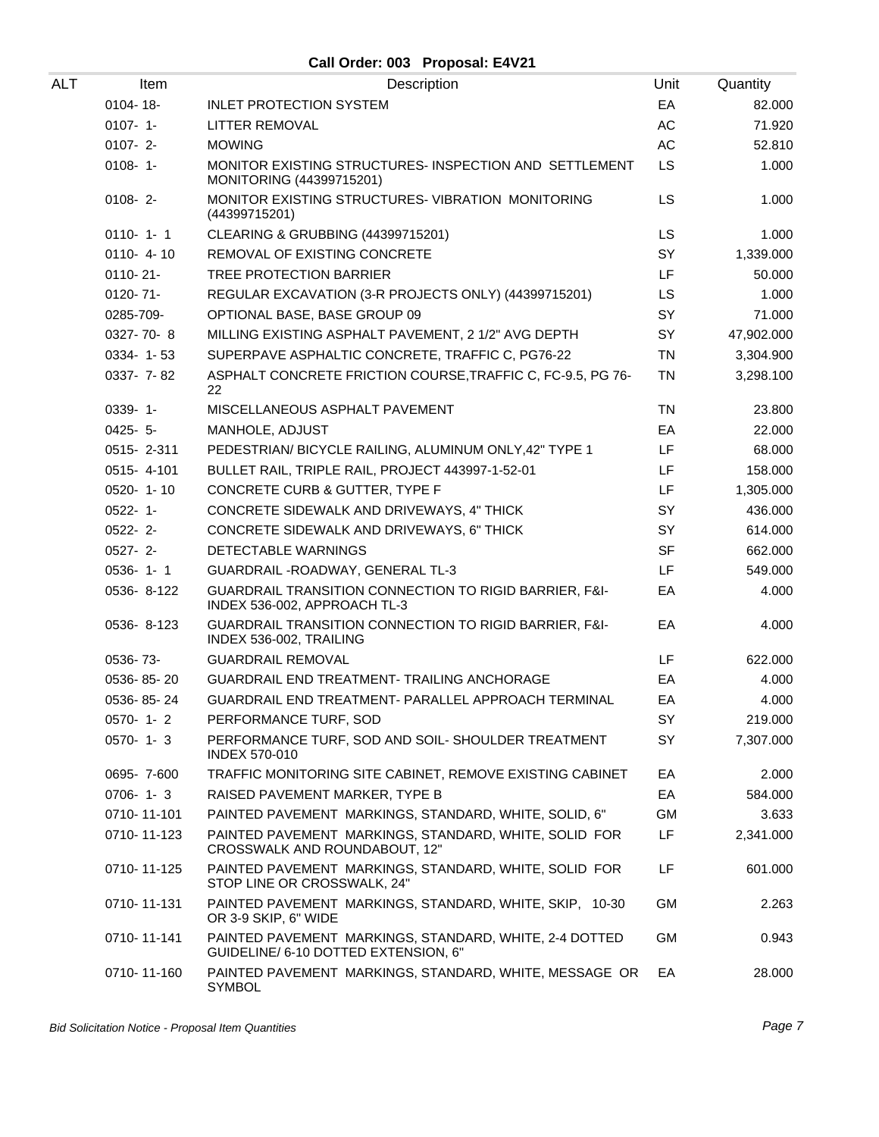# **Call Order: 003 Proposal: E4V21**

| ALT | Item            | Description                                                                                    | Unit      | Quantity   |
|-----|-----------------|------------------------------------------------------------------------------------------------|-----------|------------|
|     | $0104 - 18 -$   | <b>INLET PROTECTION SYSTEM</b>                                                                 | EA        | 82.000     |
|     | $0107 - 1 -$    | LITTER REMOVAL                                                                                 | AC        | 71.920     |
|     | $0107 - 2 -$    | <b>MOWING</b>                                                                                  | AC        | 52.810     |
|     | $0108 - 1 -$    | MONITOR EXISTING STRUCTURES- INSPECTION AND SETTLEMENT<br>MONITORING (44399715201)             | <b>LS</b> | 1.000      |
|     | $0108 - 2$      | MONITOR EXISTING STRUCTURES- VIBRATION MONITORING<br>(44399715201)                             | LS        | 1.000      |
|     | $0110 - 1 - 1$  | CLEARING & GRUBBING (44399715201)                                                              | <b>LS</b> | 1.000      |
|     | $0110 - 4 - 10$ | REMOVAL OF EXISTING CONCRETE                                                                   | SY        | 1,339.000  |
|     | $0110 - 21 -$   | TREE PROTECTION BARRIER                                                                        | LF        | 50.000     |
|     | $0120 - 71$     | REGULAR EXCAVATION (3-R PROJECTS ONLY) (44399715201)                                           | LS.       | 1.000      |
|     | 0285-709-       | OPTIONAL BASE, BASE GROUP 09                                                                   | SY        | 71.000     |
|     | $0327 - 70 - 8$ | MILLING EXISTING ASPHALT PAVEMENT, 2 1/2" AVG DEPTH                                            | <b>SY</b> | 47,902.000 |
|     | $0334 - 1 - 53$ | SUPERPAVE ASPHALTIC CONCRETE, TRAFFIC C, PG76-22                                               | <b>TN</b> | 3,304.900  |
|     | 0337- 7-82      | ASPHALT CONCRETE FRICTION COURSE, TRAFFIC C, FC-9.5, PG 76-<br>22                              | <b>TN</b> | 3,298.100  |
|     | $0339 - 1 -$    | MISCELLANEOUS ASPHALT PAVEMENT                                                                 | TN        | 23.800     |
|     | $0425 - 5$ -    | MANHOLE, ADJUST                                                                                | EA        | 22.000     |
|     | 0515-2-311      | PEDESTRIAN/ BICYCLE RAILING, ALUMINUM ONLY, 42" TYPE 1                                         | LF        | 68.000     |
|     | 0515-4-101      | BULLET RAIL, TRIPLE RAIL, PROJECT 443997-1-52-01                                               | LF        | 158.000    |
|     | $0520 - 1 - 10$ | CONCRETE CURB & GUTTER, TYPE F                                                                 | LF        | 1,305.000  |
|     | $0522 - 1$ -    | CONCRETE SIDEWALK AND DRIVEWAYS, 4" THICK                                                      | <b>SY</b> | 436.000    |
|     | $0522 - 2 -$    | CONCRETE SIDEWALK AND DRIVEWAYS, 6" THICK                                                      | SY        | 614.000    |
|     | $0527 - 2 -$    | <b>DETECTABLE WARNINGS</b>                                                                     | <b>SF</b> | 662.000    |
|     | $0536 - 1 - 1$  | GUARDRAIL - ROADWAY, GENERAL TL-3                                                              | LF        | 549.000    |
|     | 0536-8-122      | GUARDRAIL TRANSITION CONNECTION TO RIGID BARRIER, F&I-<br>INDEX 536-002, APPROACH TL-3         | EA        | 4.000      |
|     | 0536-8-123      | GUARDRAIL TRANSITION CONNECTION TO RIGID BARRIER, F&I-<br>INDEX 536-002, TRAILING              | EA        | 4.000      |
|     | 0536-73-        | <b>GUARDRAIL REMOVAL</b>                                                                       | <b>LF</b> | 622.000    |
|     | 0536-85-20      | <b>GUARDRAIL END TREATMENT- TRAILING ANCHORAGE</b>                                             | EA        | 4.000      |
|     | 0536-85-24      | <b>GUARDRAIL END TREATMENT- PARALLEL APPROACH TERMINAL</b>                                     | EA        | 4.000      |
|     | $0570 - 1 - 2$  | PERFORMANCE TURF, SOD                                                                          | SY        | 219.000    |
|     | $0570 - 1 - 3$  | PERFORMANCE TURF, SOD AND SOIL- SHOULDER TREATMENT<br><b>INDEX 570-010</b>                     | SY        | 7,307.000  |
|     | 0695-7-600      | TRAFFIC MONITORING SITE CABINET, REMOVE EXISTING CABINET                                       | EA        | 2.000      |
|     | $0706 - 1 - 3$  | RAISED PAVEMENT MARKER, TYPE B                                                                 | EA        | 584.000    |
|     | 0710-11-101     | PAINTED PAVEMENT MARKINGS, STANDARD, WHITE, SOLID, 6"                                          | GM        | 3.633      |
|     | 0710-11-123     | PAINTED PAVEMENT MARKINGS, STANDARD, WHITE, SOLID FOR<br>CROSSWALK AND ROUNDABOUT, 12"         | LF        | 2,341.000  |
|     | 0710-11-125     | PAINTED PAVEMENT MARKINGS, STANDARD, WHITE, SOLID FOR<br>STOP LINE OR CROSSWALK, 24"           | LF        | 601.000    |
|     | 0710-11-131     | PAINTED PAVEMENT MARKINGS, STANDARD, WHITE, SKIP, 10-30<br>OR 3-9 SKIP, 6" WIDE                | <b>GM</b> | 2.263      |
|     | 0710-11-141     | PAINTED PAVEMENT MARKINGS, STANDARD, WHITE, 2-4 DOTTED<br>GUIDELINE/ 6-10 DOTTED EXTENSION, 6" | <b>GM</b> | 0.943      |
|     | 0710-11-160     | PAINTED PAVEMENT MARKINGS, STANDARD, WHITE, MESSAGE OR<br>SYMBOL                               | EA        | 28.000     |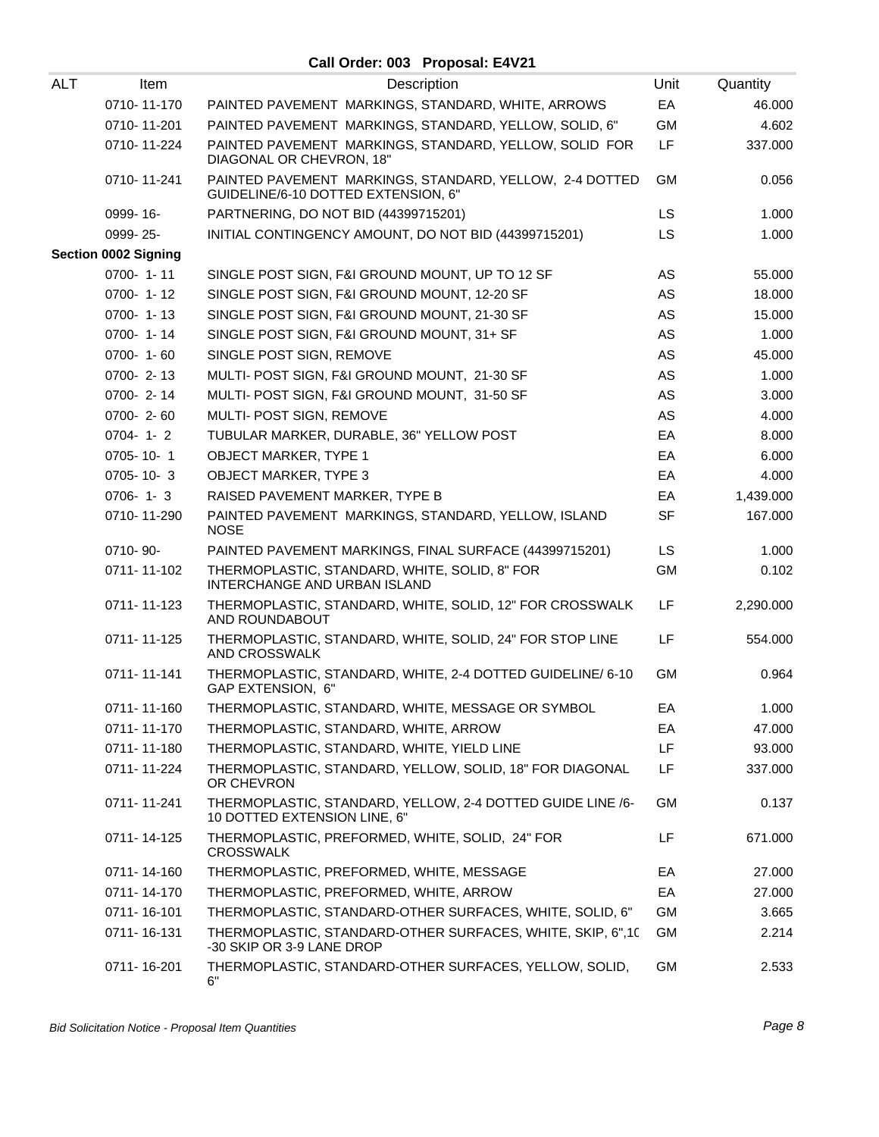# **Call Order: 003 Proposal: E4V21**

| <b>ALT</b> | Item                        | Description                                                                                    | Unit      | Quantity  |
|------------|-----------------------------|------------------------------------------------------------------------------------------------|-----------|-----------|
|            | 0710-11-170                 | PAINTED PAVEMENT MARKINGS, STANDARD, WHITE, ARROWS                                             | EA        | 46.000    |
|            | 0710-11-201                 | PAINTED PAVEMENT MARKINGS, STANDARD, YELLOW, SOLID, 6"                                         | <b>GM</b> | 4.602     |
|            | 0710-11-224                 | PAINTED PAVEMENT MARKINGS, STANDARD, YELLOW, SOLID FOR<br>DIAGONAL OR CHEVRON, 18"             | LF        | 337.000   |
|            | 0710-11-241                 | PAINTED PAVEMENT MARKINGS, STANDARD, YELLOW, 2-4 DOTTED<br>GUIDELINE/6-10 DOTTED EXTENSION, 6" | <b>GM</b> | 0.056     |
|            | 0999-16-                    | PARTNERING, DO NOT BID (44399715201)                                                           | <b>LS</b> | 1.000     |
|            | 0999-25-                    | INITIAL CONTINGENCY AMOUNT, DO NOT BID (44399715201)                                           | LS        | 1.000     |
|            | <b>Section 0002 Signing</b> |                                                                                                |           |           |
|            | 0700-1-11                   | SINGLE POST SIGN, F&I GROUND MOUNT, UP TO 12 SF                                                | AS        | 55.000    |
|            | 0700-1-12                   | SINGLE POST SIGN, F&I GROUND MOUNT, 12-20 SF                                                   | AS        | 18.000    |
|            | 0700-1-13                   | SINGLE POST SIGN, F&I GROUND MOUNT, 21-30 SF                                                   | AS        | 15.000    |
|            | 0700-1-14                   | SINGLE POST SIGN, F&I GROUND MOUNT, 31+ SF                                                     | AS        | 1.000     |
|            | 0700-1-60                   | SINGLE POST SIGN, REMOVE                                                                       | AS        | 45.000    |
|            | $0700 - 2 - 13$             | MULTI- POST SIGN, F&I GROUND MOUNT, 21-30 SF                                                   | AS        | 1.000     |
|            | 0700-2-14                   | MULTI- POST SIGN, F&I GROUND MOUNT, 31-50 SF                                                   | AS        | 3.000     |
|            | 0700-2-60                   | MULTI- POST SIGN, REMOVE                                                                       | AS        | 4.000     |
|            | $0704 - 1 - 2$              | TUBULAR MARKER, DURABLE, 36" YELLOW POST                                                       | EA        | 8.000     |
|            | 0705-10-1                   | <b>OBJECT MARKER, TYPE 1</b>                                                                   | EA        | 6.000     |
|            | 0705-10-3                   | <b>OBJECT MARKER, TYPE 3</b>                                                                   | EA        | 4.000     |
|            | $0706 - 1 - 3$              | RAISED PAVEMENT MARKER, TYPE B                                                                 | EA        | 1,439.000 |
|            | 0710-11-290                 | PAINTED PAVEMENT MARKINGS, STANDARD, YELLOW, ISLAND<br><b>NOSE</b>                             | <b>SF</b> | 167.000   |
|            | 0710-90-                    | PAINTED PAVEMENT MARKINGS, FINAL SURFACE (44399715201)                                         | <b>LS</b> | 1.000     |
|            | 0711-11-102                 | THERMOPLASTIC, STANDARD, WHITE, SOLID, 8" FOR<br>INTERCHANGE AND URBAN ISLAND                  | <b>GM</b> | 0.102     |
|            | 0711-11-123                 | THERMOPLASTIC, STANDARD, WHITE, SOLID, 12" FOR CROSSWALK<br>AND ROUNDABOUT                     | LF        | 2,290.000 |
|            | 0711-11-125                 | THERMOPLASTIC, STANDARD, WHITE, SOLID, 24" FOR STOP LINE<br>AND CROSSWALK                      | LF        | 554.000   |
|            | 0711-11-141                 | THERMOPLASTIC, STANDARD, WHITE, 2-4 DOTTED GUIDELINE/ 6-10<br>GAP EXTENSION, 6"                | <b>GM</b> | 0.964     |
|            | 0711-11-160                 | THERMOPLASTIC, STANDARD, WHITE, MESSAGE OR SYMBOL                                              | EA        | 1.000     |
|            | 0711-11-170                 | THERMOPLASTIC, STANDARD, WHITE, ARROW                                                          | EA        | 47.000    |
|            | 0711-11-180                 | THERMOPLASTIC, STANDARD, WHITE, YIELD LINE                                                     | LF        | 93.000    |
|            | 0711-11-224                 | THERMOPLASTIC, STANDARD, YELLOW, SOLID, 18" FOR DIAGONAL<br>OR CHEVRON                         | <b>LF</b> | 337.000   |
|            | 0711-11-241                 | THERMOPLASTIC, STANDARD, YELLOW, 2-4 DOTTED GUIDE LINE /6-<br>10 DOTTED EXTENSION LINE, 6"     | <b>GM</b> | 0.137     |
|            | 0711-14-125                 | THERMOPLASTIC, PREFORMED, WHITE, SOLID, 24" FOR<br><b>CROSSWALK</b>                            | <b>LF</b> | 671.000   |
|            | 0711-14-160                 | THERMOPLASTIC, PREFORMED, WHITE, MESSAGE                                                       | EA        | 27.000    |
|            | 0711-14-170                 | THERMOPLASTIC, PREFORMED, WHITE, ARROW                                                         | EA        | 27.000    |
|            | 0711-16-101                 | THERMOPLASTIC, STANDARD-OTHER SURFACES, WHITE, SOLID, 6"                                       | GM        | 3.665     |
|            | 0711-16-131                 | THERMOPLASTIC, STANDARD-OTHER SURFACES, WHITE, SKIP, 6",10<br>-30 SKIP OR 3-9 LANE DROP        | GM        | 2.214     |
|            | 0711-16-201                 | THERMOPLASTIC, STANDARD-OTHER SURFACES, YELLOW, SOLID,<br>6"                                   | GM        | 2.533     |